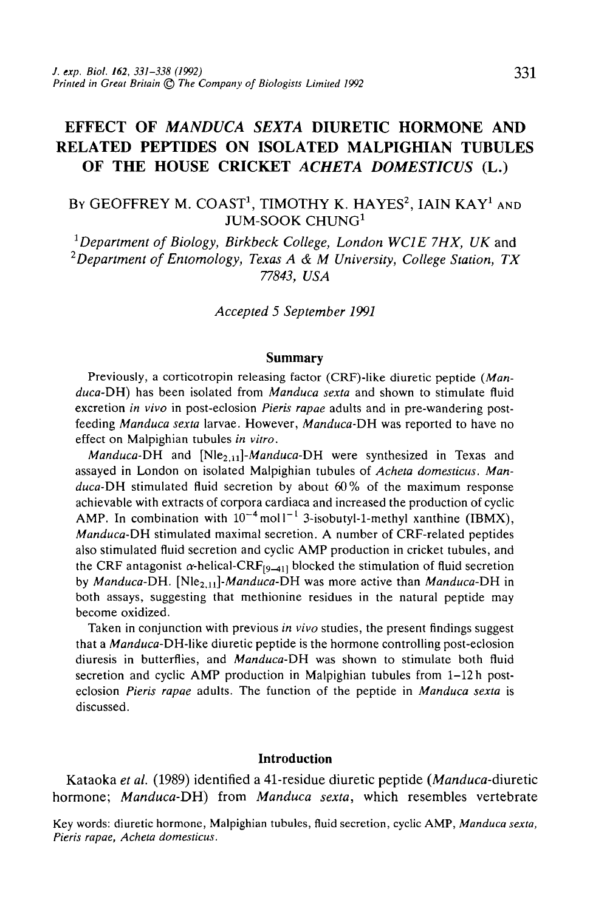# **EFFECT OF** *MANDUCA SEXTA* **DIURETIC HORMONE AND RELATED PEPTIDES ON ISOLATED MALPIGfflAN TUBULES OF THE HOUSE CRICKET** *ACHETA DOMESTICUS* **(L.)**

# By GEOFFREY M. COAST<sup>1</sup>, TIMOTHY K. HAYES<sup>2</sup>, IAIN KAY<sup>1</sup> and JUM-SOOK CHUNG<sup>1</sup>

<sup>1</sup>Department of Biology, Birkbeck College, London WC1E 7HX, UK and *2 Department of Entomology, Texas A & M University, College Station, TX 77843, USA*

*Accepted 5 September 1991*

#### **Summary**

Previously, a corticotropin releasing factor (CRF)-like diuretic peptide *(Manduca-DH)* has been isolated from *Manduca sexta* and shown to stimulate fluid excretion *in vivo* in post-eclosion *Pieris rapae* adults and in pre-wandering postfeeding *Manduca sexta* larvae. However, *Manduca-DH* was reported to have no effect on Malpighian tubules *in vitro.*

*Manduca-DH* and *[N\e2,u]-Manduca-DH* were synthesized in Texas and assayed in London on isolated Malpighian tubules of *Acheta domesticus. Manduca-DH* stimulated fluid secretion by about 60% of the maximum response achievable with extracts of corpora cardiaca and increased the production of cyclic AMP. In combination with  $10^{-4}$  mol  $1^{-1}$  3-isobutyl-1-methyl xanthine (IBMX), *Manduca-DH* stimulated maximal secretion. A number of CRF-related peptides also stimulated fluid secretion and cyclic AMP production in cricket tubules, and the CRF antagonist  $\alpha$ -helical-CRF<sub>[9-41]</sub> blocked the stimulation of fluid secretion by *Manduca-DH. [N\e2,ii\-Manduca-DH* was more active than *Manduca-DH* in both assays, suggesting that methionine residues in the natural peptide may become oxidized.

Taken in conjunction with previous *in vivo* studies, the present findings suggest that a *Manduca-DH-like diuretic peptide is the hormone controlling post-eclosion* diuresis in butterflies, and *Manduca-DH* was shown to stimulate both fluid secretion and cyclic AMP production in Malpighian tubules from 1-12 h posteclosion *Pieris rapae* adults. The function of the peptide in *Manduca sexta* is discussed.

#### **Introduction**

Kataoka *et al.* (1989) identified a 41-residue diuretic peptide *(Manduca-diuretic* hormone; *Manduca-DH)* from *Manduca sexta,* which resembles vertebrate

Key words: diuretic hormone, Malpighian tubules, fluid secretion, cyclic AMP, *Manduca sexta, Pieris rapae, Acheta domesticus.*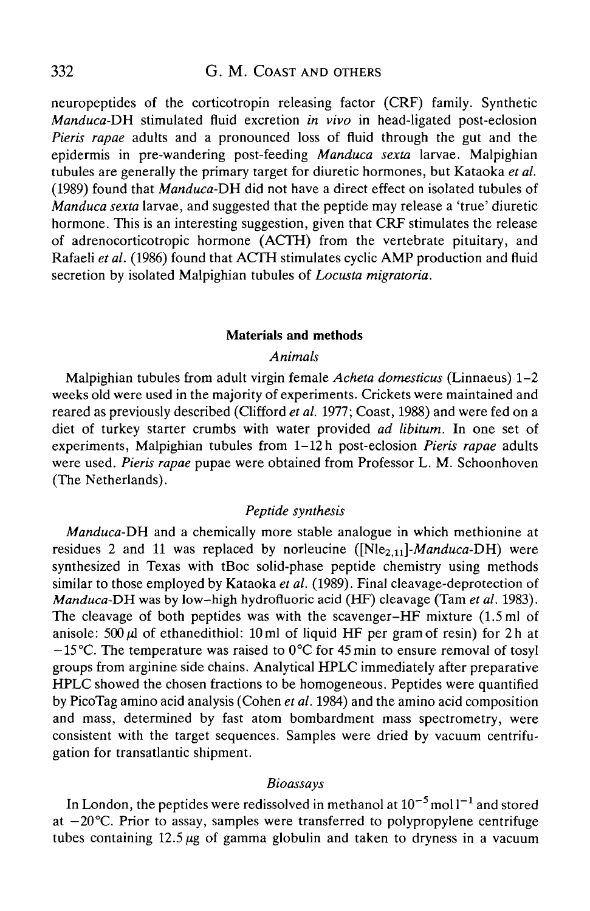neuropeptides of the corticotropin releasing factor (CRF) family. Synthetic *Manduca-DH* stimulated fluid excretion *in vivo* in head-ligated post-eclosion *Pieris rapae* adults and a pronounced loss of fluid through the gut and the epidermis in pre-wandering post-feeding *Manduca sexta* larvae. Malpighian tubules are generally the primary target for diuretic hormones, but Kataoka *et al.* (1989) found that *Manduca-DH* did not have a direct effect on isolated tubules of *Manduca sexta* larvae, and suggested that the peptide may release a 'true' diuretic hormone. This is an interesting suggestion, given that CRF stimulates the release of adrenocorticotropic hormone (ACTH) from the vertebrate pituitary, and Rafaeli *et al.* (1986) found that ACTH stimulates cyclic AMP production and fluid secretion by isolated Malpighian tubules of *Locusta migratoria.*

### **Materials and methods**

# *Animals*

Malpighian tubules from adult virgin female *Acheta domesticus* (Linnaeus) 1-2 weeks old were used in the majority of experiments. Crickets were maintained and reared as previously described (Clifford *et al.* 1977; Coast, 1988) and were fed on a diet of turkey starter crumbs with water provided *ad libitum.* In one set of experiments, Malpighian tubules from 1-12 h post-eclosion *Pieris rapae* adults were used. *Pieris rapae* pupae were obtained from Professor L. M. Schoonhoven (The Netherlands).

# *Peptide synthesis*

*Manduca-DH* and a chemically more stable analogue in which methionine at residues 2 and 11 was replaced by norleucine  $(Nle<sub>2.11</sub>]-Manduca-DH)$  were synthesized in Texas with tBoc solid-phase peptide chemistry using methods similar to those employed by Kataoka *et al.* (1989). Final cleavage-deprotection of *Manduca-DH* was by low-high hydrofluoric acid (HF) cleavage (Tam et al. 1983). The cleavage of both peptides was with the scavenger-HF mixture (1.5 ml of anisole:  $500 \mu l$  of ethanedithiol: 10 ml of liquid HF per gram of resin) for 2h at  $-15^{\circ}$ C. The temperature was raised to 0°C for 45 min to ensure removal of tosyl groups from arginine side chains. Analytical HPLC immediately after preparative HPLC showed the chosen fractions to be homogeneous. Peptides were quantified by PicoTag amino acid analysis (Cohen *et al.* 1984) and the amino acid composition and mass, determined by fast atom bombardment mass spectrometry, were consistent with the target sequences. Samples were dried by vacuum centrifugation for transatlantic shipment.

#### *Bioassays*

In London, the peptides were redissolved in methanol at  $10^{-5}$  mol l<sup>-1</sup> and stored at  $-20^{\circ}$ C. Prior to assay, samples were transferred to polypropylene centrifuge tubes containing  $12.5 \mu$ g of gamma globulin and taken to dryness in a vacuum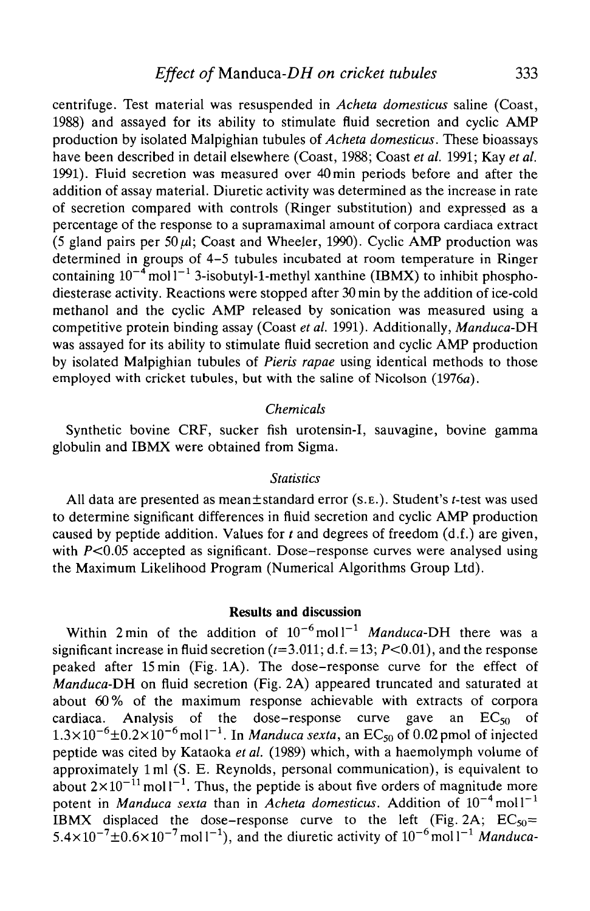centrifuge. Test material was resuspended in *Acheta domesticus* saline (Coast, 1988) and assayed for its ability to stimulate fluid secretion and cyclic AMP production by isolated Malpighian tubules of *Acheta domesticus.* These bioassays have been described in detail elsewhere (Coast, 1988; Coast *et al.* 1991; Kay *et al.* 1991). Fluid secretion was measured over 40min periods before and after the addition of assay material. Diuretic activity was determined as the increase in rate of secretion compared with controls (Ringer substitution) and expressed as a percentage of the response to a supramaximal amount of corpora cardiaca extract (5 gland pairs per 50  $\mu$ ); Coast and Wheeler, 1990). Cyclic AMP production was determined in groups of 4-5 tubules incubated at room temperature in Ringer containing  $10^{-4}$  mol  $1^{-1}$  3-isobutyl-1-methyl xanthine (IBMX) to inhibit phosphodiesterase activity. Reactions were stopped after 30 min by the addition of ice-cold methanol and the cyclic AMP released by sonication was measured using a competitive protein binding assay (Coast *et al.* 1991). Additionally, *Manduca-DK* was assayed for its ability to stimulate fluid secretion and cyclic AMP production by isolated Malpighian tubules of *Pieris rapae* using identical methods to those employed with cricket tubules, but with the saline of Nicolson (1976a).

### *Chemicals*

Synthetic bovine CRF, sucker fish urotensin-I, sauvagine, bovine gamma globulin and IBMX were obtained from Sigma.

### *Statistics*

All data are presented as mean $\pm$ standard error (s.e.). Student's t-test was used to determine significant differences in fluid secretion and cyclic AMP production caused by peptide addition. Values for *t* and degrees of freedom (d.f.) are given, with  $P<0.05$  accepted as significant. Dose-response curves were analysed using the Maximum Likelihood Program (Numerical Algorithms Group Ltd).

### **Results and discussion**

Within 2 min of the addition of  $10^{-6}$  moll<sup>-1</sup> Manduca-DH there was a significant increase in fluid secretion  $(t=3.011; d.f. = 13; P<0.01)$ , and the response peaked after 15 min (Fig. 1A). The dose-response curve for the effect of *Manduca-DH* on fluid secretion (Fig. 2A) appeared truncated and saturated at about 60% of the maximum response achievable with extracts of corpora cardiaca. Analysis of the dose-response curve gave an  $EC_{50}$  of  $1.3 \times 10^{-6} \pm 0.2 \times 10^{-6}$  mol l<sup>-1</sup>. In *Manduca sexta*, an EC<sub>50</sub> of 0.02 pmol of injected peptide was cited by Kataoka *et al.* (1989) which, with a haemolymph volume of approximately lml (S. E. Reynolds, personal communication), is equivalent to about  $2 \times 10^{-11}$  moll<sup>-1</sup>. Thus, the peptide is about five orders of magnitude more potent in *Manduca sexta* than in *Acheta domesticus*. Addition of  $10^{-4}$  moll<sup>-1</sup> IBMX displaced the dose-response curve to the left (Fig. 2A;  $EC_{50}$ =  $5.4 \times 10^{-7} \pm 0.6 \times 10^{-7}$  moll<sup>-1</sup>), and the diuretic activity of  $10^{-6}$  moll<sup>-1</sup> Manduca-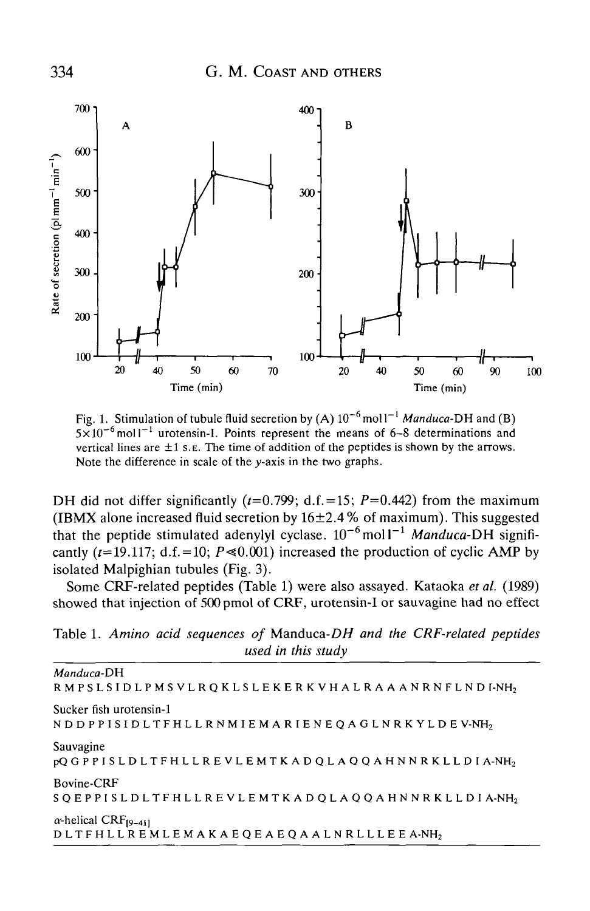

Fig. 1. Stimulation of tubule fluid secretion by  $(A) 10^{-6}$  moll<sup>-1</sup> *Manduca-DH* and (B)  $5\times10^{-6}$  moll<sup>-1</sup> urotensin-I. Points represent the means of 6-8 determinations and vertical lines are  $\pm 1$  s. E. The time of addition of the peptides is shown by the arrows. Note the difference in scale of the  $y$ -axis in the two graphs.

DH did not differ significantly  $(t=0.799; d.f.=15; P=0.442)$  from the maximum (IBMX alone increased fluid secretion by  $16\pm2.4$ % of maximum). This suggested that the peptide stimulated adenylyl cyclase.  $10^{-6}$  moll<sup>-1</sup> *Manduca-DH* significantly ( $t=19.117$ ; d.f. = 10;  $P \le 0.001$ ) increased the production of cyclic AMP by isolated Malpighian tubules (Fig. 3).

Some CRF-related peptides (Table 1) were also assayed. Kataoka *et al.* (1989) showed that injection of 500 pmol of CRF, urotensin-I or sauvagine had no effect

Table 1. *Amino acid sequences of* Manduca-D// *and the CRF-related peptides used in this study*

*Manduca-DH* RMPSLSIDLPMSVLRQKLSLEKERKVHALRAAANRNFLNDI-NH<sub>2</sub> Sucker fish urotensin-1 NDDPPISIDLTFHLLRNMIEMARIENEQAGLNRKYLD E V-NH2 Sauvagine pQGPPISLDLTFHLLREVLEMTKADQLAQQAHNNRKLLD I A-NH2 Bovine-CRF SQEPPISLDLTFHLLREVLEMTKADQLAQQAHNNRKLLD I A-NH2  $\alpha$ -helical CRF<sub>[9-41]</sub> DLTFHLLREMLEMAKAEQEAEQAALNRLLLE E A-NH2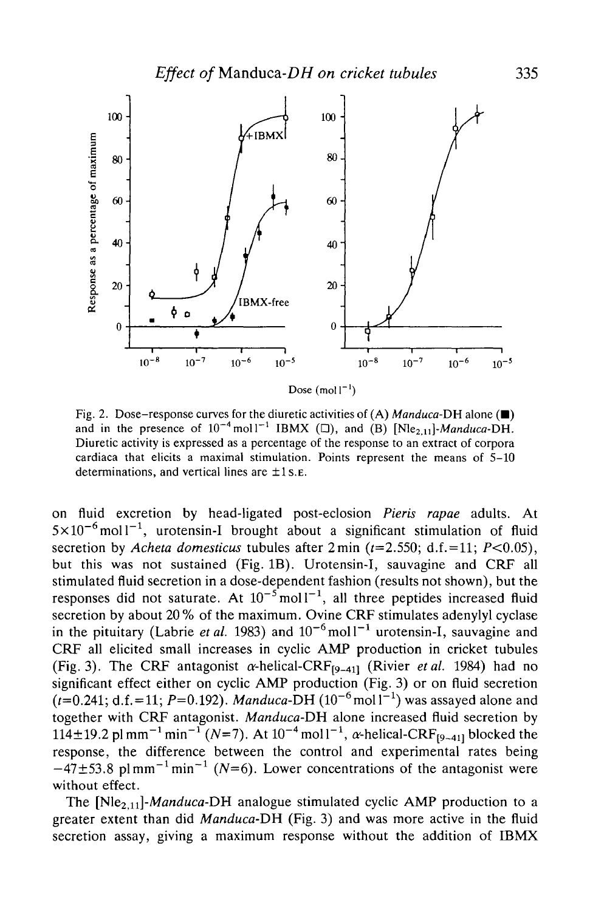

Fig. 2. Dose-response curves for the diuretic activities of  $(A)$  *Manduca-DH* alone  $(\blacksquare)$ and in the presence of  $10^{-4}$  moll<sup>-1</sup> IBMX ( $\square$ ), and (B) [Nle<sub>2,11</sub>]-*Manduca-DH*. Diuretic activity is expressed as a percentage of the response to an extract of corpora cardiaca that elicits a maximal stimulation. Points represent the means of 5-10 determinations, and vertical lines are  $\pm 1$  s. E.

on fluid excretion by head-ligated post-eclosion *Pieris rapae* adults. At  $5 \times 10^{-6}$  moll<sup>-1</sup>, urotensin-I brought about a significant stimulation of fluid secretion by *Acheta domesticus* tubules after  $2 \text{ min}$  ( $t=2.550$ ; d.f. = 11;  $P<0.05$ ), but this was not sustained (Fig. IB). Urotensin-I, sauvagine and CRF all stimulated fluid secretion in a dose-dependent fashion (results not shown), but the responses did not saturate. At  $10^{-5}$  moll<sup>-1</sup>, all three peptides increased fluid secretion by about 20 % of the maximum. Ovine CRF stimulates adenylyl cyclase in the pituitary (Labrie *et al.* 1983) and  $10^{-6}$  moll<sup>-1</sup> urotensin-I, sauvagine and CRF all elicited small increases in cyclic AMP production in cricket tubules (Fig. 3). The CRF antagonist  $\alpha$ -helical-CRF<sub>[9-41]</sub> (Rivier *et al.* 1984) had no significant effect either on cyclic AMP production (Fig. 3) or on fluid secretion  $(t=0.241; d.f.=11; P=0.192)$ . *Manduca-DH*  $(10^{-6} \text{mol}^{-1})$  was assayed alone and together with CRF antagonist. *Manduca-DH* alone increased fluid secretion by  $114 \pm 19.2$  pl mm<sup>-1</sup> min<sup>-1</sup> (N=7). At  $10^{-4}$  mol  $1^{-1}$ ,  $\alpha$ -helical-CRF<sub>[9-41]</sub> blocked the response, the difference between the control and experimental rates being  $-47\pm53.8$  plmm<sup>-1</sup> min<sup>-1</sup> (N=6). Lower concentrations of the antagonist were without effect.

The [Nle<sub>2.11</sub>]-*Manduca*-DH analogue stimulated cyclic AMP production to a greater extent than did *Manduca-DH* (Fig. 3) and was more active in the fluid secretion assay, giving a maximum response without the addition of IBMX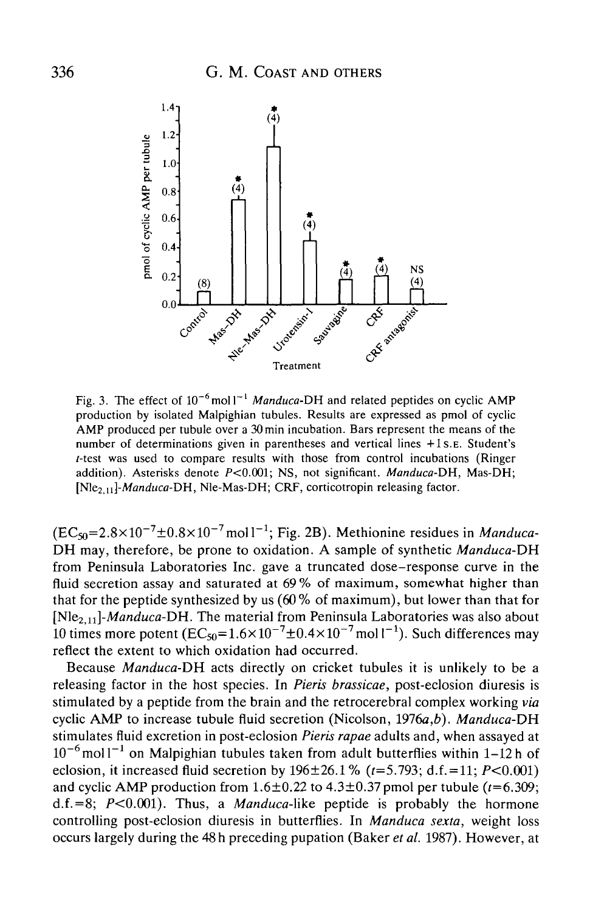

Fig. 3. The effect of  $10^{-6}$  moll<sup>-1</sup> Manduca-DH and related peptides on cyclic AMF production by isolated Malpighian tubules. Results are expressed as pmol of cyclic AMP produced per tubule over a 30min incubation. Bars represent the means of the number of determinations given in parentheses and vertical lines +1S.E. Student's *-test was used to compare results with those from control incubations (Ringer* addition). Asterisks denote P<0.001; NS, not significant. *Manduca-DH,* Mas-DH; *[Nle2,n]-Manduca-DH,* Nle-Mas-DH; CRF, corticotropin releasing factor.

 $(EC_{50} = 2.8 \times 10^{-7} \pm 0.8 \times 10^{-7}$  mol l<sup>-1</sup>; Fig. 2B). Methionine residues in *Manduca*-*DH* may, therefore, be prone to oxidation. A sample of synthetic *Manduca-DH* from Peninsula Laboratories Inc. gave a truncated dose-response curve in the fluid secretion assay and saturated at 69% of maximum, somewhat higher than that for the peptide synthesized by us  $(60\%$  of maximum), but lower than that for *[N\&2tn]-Manduca-DH.* The material from Peninsula Laboratories was also about 10 times more potent ( $EC_{50} = 1.6 \times 10^{-7} \pm 0.4 \times 10^{-7}$  mol l<sup>-1</sup>). Such differences may reflect the extent to which oxidation had occurred.

Because *Manduca-DH* acts directly on cricket tubules it is unlikely to be a releasing factor in the host species. In *Pieris brassicae,* post-eclosion diuresis is stimulated by a peptide from the brain and the retrocerebral complex working *via* cyclic AMP to increase tubule fluid secretion (Nicolson, 1976a,*b). Manduca-DH* stimulates fluid excretion in post-eclosion *Pieris rapae* adults and, when assayed at  $10^{-6}$  moll<sup>-1</sup> on Malpighian tubules taken from adult butterflies within 1-12 h of eclosion, it increased fluid secretion by  $196 \pm 26.1$  %  $(t=5.793; d.f. = 11; P<0.001)$ and cyclic AMP production from  $1.6\pm0.22$  to  $4.3\pm0.37$  pmol per tubule ( $t=6.309$ ; d.f.=8;  $P<0.001$ ). Thus, a *Manduca*-like peptide is probably the hormone controlling post-eclosion diuresis in butterflies. In *Manduca sexta,* weight loss occurs largely during the 48 h preceding pupation (Baker *et al.* 1987). However, at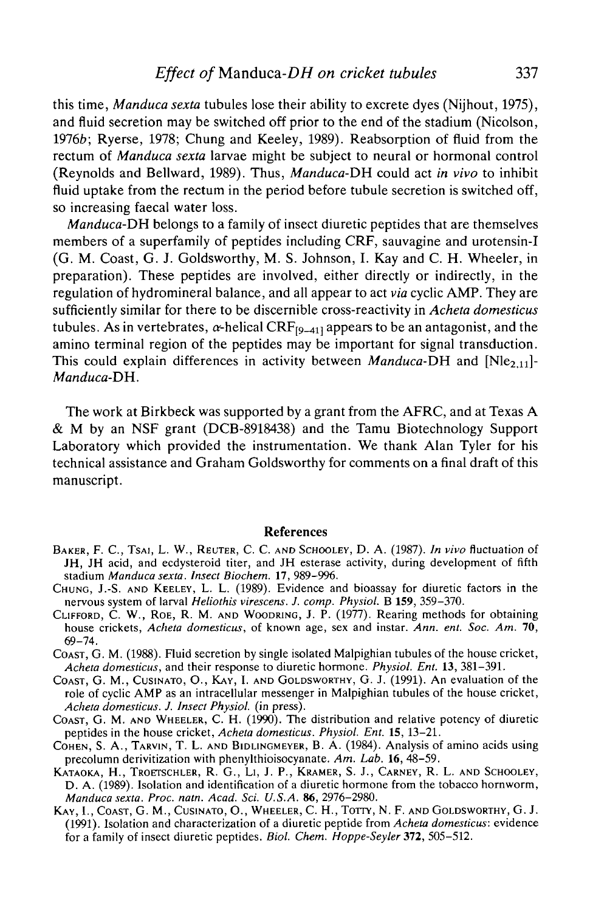this time, *Manduca sexta* tubules lose their ability to excrete dyes (Nijhout, 1975), and fluid secretion may be switched off prior to the end of the stadium (Nicolson, 1976b; Ryerse, 1978; Chung and Keeley, 1989). Reabsorption of fluid from the rectum of *Manduca sexta* larvae might be subject to neural or hormonal control (Reynolds and Bellward, 1989). Thus, *Manduca-DH* could act *in vivo* to inhibit fluid uptake from the rectum in the period before tubule secretion is switched off, so increasing faecal water loss.

*Manduca-DH* belongs to a family of insect diuretic peptides that are themselves members of a superfamily of peptides including CRF, sauvagine and urotensin-I (G. M. Coast, G. J. Goldsworthy, M. S. Johnson, I. Kay and C. H. Wheeler, in preparation). These peptides are involved, either directly or indirectly, in the regulation of hydromineral balance, and all appear to act *via* cyclic AMP. They are sufficiently similar for there to be discernible cross-reactivity in *Acheta domesticus* tubules. As in vertebrates,  $\alpha$ -helical CRF<sub>[9-41]</sub> appears to be an antagonist, and the amino terminal region of the peptides may be important for signal transduction. This could explain differences in activity between *Manduca-DH* and  $[N]$ <sub> $2,11$ </sub> $[-]$ *Manduca-DH.*

The work at Birkbeck was supported by a grant from the AFRC, and at Texas A & M by an NSF grant (DCB-8918438) and the Tamu Biotechnology Support Laboratory which provided the instrumentation. We thank Alan Tyler for his technical assistance and Graham Goldsworthy for comments on a final draft of this manuscript.

#### References

- BAKER, F. C., TSAI, L. W., REUTER, C. C. AND SCHOOLEY, D. A. (1987). *In vivo* fluctuation of JH, JH acid, and ecdysteroid titer, and JH esterase activity, during development of fifth stadium *Manduca sexta. Insect Biochem.* 17, 989-996.
- CHUNG, J.-S. AND KEELEY, L. L. (1989). Evidence and bioassay for diuretic factors in the nervous system of larval *Heliothis virescens. J. comp. Physiol.* B 159, 359-370.
- CLIFFORD, C. W., ROE, R. M. AND WOODRING, J. P. (1977). Rearing methods for obtaining house crickets, *Acheta domesticus,* of known age, sex and instar. *Ann. ent. Soc. Am.* 70, 69-74.
- COAST, G. M. (1988). Fluid secretion by single isolated Malpighian tubules of the house cricket, *Acheta domesticus,* and their response to diuretic hormone. *Physiol. Ent.* 13, 381-391.
- COAST, G. M., CUSINATO, O., KAY, I. AND GOLDSWORTHY, G. J. (1991). An evaluation of the role of cyclic AMP as an intracellular messenger in Malpighian tubules of the house cricket, *Acheta domesticus. J. Insect Physiol.* (in press).
- COAST, G. M. AND WHEELER, C. H. (1990). The distribution and relative potency of diuretic peptides in the house cricket, *Acheta domesticus. Physiol. Ent.* 15, 13—21.
- COHEN, S. A., TARVIN, T. L. AND BIDLINGMEYER, B. A. (1984). Analysis of amino acids using precolumn derivitization with phenylthioisocyanate. *Am. Lab.* 16, 48-59.
- KATAOKA, H., TROETSCHLER, R. G., LI, J. P., KRAMER, S. J., CARNEY, R. L. AND SCHOOLEY, D. A. (1989). Isolation and identification of a diuretic hormone from the tobacco hornworm, *Manduca sexta. Proc. natn. Acad. Sci. U.S.A.* 86, 2976-2980.
- KAY, I., COAST, G. M., CUSINATO, O., WHEELER, C. H., TOTTY, N. F. AND GOLDSWORTHY, G. J. (1991). Isolation and characterization of a diuretic peptide from *Acheta domesticus:* evidence for a family of insect diuretic peptides. *Biol. Chem. Hoppe-Seyler* 372, 505-512.